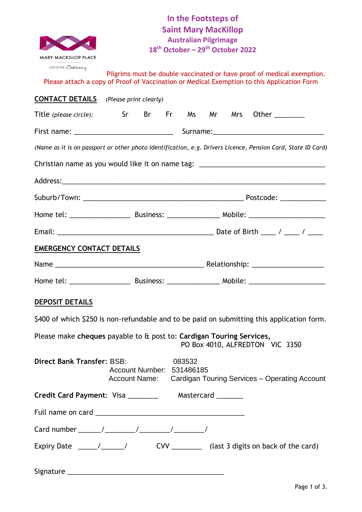|                                                                                                              |                                                          |  | <b>III THE LOOPSTEDS OF</b> |  |  |                                                                                                                                                                                                                                                                                                                                                                                    |
|--------------------------------------------------------------------------------------------------------------|----------------------------------------------------------|--|-----------------------------|--|--|------------------------------------------------------------------------------------------------------------------------------------------------------------------------------------------------------------------------------------------------------------------------------------------------------------------------------------------------------------------------------------|
|                                                                                                              |                                                          |  | <b>Saint Mary MacKillop</b> |  |  |                                                                                                                                                                                                                                                                                                                                                                                    |
|                                                                                                              | <b>Australian Pilgrimage</b>                             |  |                             |  |  |                                                                                                                                                                                                                                                                                                                                                                                    |
|                                                                                                              | 18 <sup>th</sup> October - 29 <sup>th</sup> October 2022 |  |                             |  |  |                                                                                                                                                                                                                                                                                                                                                                                    |
| <b>MARY MACKILLOP PLACE</b>                                                                                  |                                                          |  |                             |  |  |                                                                                                                                                                                                                                                                                                                                                                                    |
| OUT OF THE Crainary                                                                                          |                                                          |  |                             |  |  | Pilgrims must be double vaccinated or have proof of medical exemption.                                                                                                                                                                                                                                                                                                             |
| Please attach a copy of Proof of Vaccination or Medical Exemption to this Application Form                   |                                                          |  |                             |  |  |                                                                                                                                                                                                                                                                                                                                                                                    |
| <b>CONTACT DETAILS</b> (Please print clearly)                                                                |                                                          |  |                             |  |  |                                                                                                                                                                                                                                                                                                                                                                                    |
| Title (please circle): Sr Br Fr Ms Mr Mrs Other _______                                                      |                                                          |  |                             |  |  |                                                                                                                                                                                                                                                                                                                                                                                    |
|                                                                                                              |                                                          |  |                             |  |  |                                                                                                                                                                                                                                                                                                                                                                                    |
| (Name as it is on passport or other photo identification, e.g. Drivers Licence, Pension Card, State ID Card) |                                                          |  |                             |  |  |                                                                                                                                                                                                                                                                                                                                                                                    |
| Christian name as you would like it on name tag: _______________________________                             |                                                          |  |                             |  |  |                                                                                                                                                                                                                                                                                                                                                                                    |
|                                                                                                              |                                                          |  |                             |  |  |                                                                                                                                                                                                                                                                                                                                                                                    |
|                                                                                                              |                                                          |  |                             |  |  |                                                                                                                                                                                                                                                                                                                                                                                    |
|                                                                                                              |                                                          |  |                             |  |  |                                                                                                                                                                                                                                                                                                                                                                                    |
| F. <b>. 1</b>                                                                                                |                                                          |  |                             |  |  | $\mathbf{D}_{\text{min}}$ and $\mathbf{D}_{\text{min}}$ and $\mathbf{D}_{\text{min}}$ and $\mathbf{D}_{\text{min}}$ and $\mathbf{D}_{\text{min}}$ and $\mathbf{D}_{\text{min}}$ and $\mathbf{D}_{\text{min}}$ and $\mathbf{D}_{\text{min}}$ and $\mathbf{D}_{\text{min}}$ and $\mathbf{D}_{\text{min}}$ and $\mathbf{D}_{\text{min}}$ and $\mathbf{D}_{\text{min}}$ and $\mathbf{$ |

# **In the Footsteps of Saint Mary MacKillop Australian Pilgrimage 18th October – 29th October 2022**

Ms Mr Mrs Other \_\_\_\_\_\_\_\_\_ First name: \_\_\_\_\_\_\_\_\_\_\_\_\_\_\_\_\_\_\_\_\_\_\_\_\_\_ Surname:\_\_\_\_\_\_\_\_\_\_\_\_\_\_\_\_\_\_\_\_\_\_\_\_\_\_\_\_\_ *(Name as it is on passport or other photo identification, e.g. Drivers Licence, Pension Card, State ID Card)*  Christian name as you would like it on name tag: \_\_\_\_\_\_\_\_\_\_\_\_\_\_\_\_\_\_\_\_\_\_\_\_\_\_\_\_\_\_\_\_\_ Address:\_\_\_\_\_\_\_\_\_\_\_\_\_\_\_\_\_\_\_\_\_\_\_\_\_\_\_\_\_\_\_\_\_\_\_\_\_\_\_\_\_\_\_\_\_\_\_\_\_\_\_\_\_\_\_\_\_\_\_\_\_\_\_\_\_\_\_\_\_  $Postcode:$ Home tel: \_\_\_\_\_\_\_\_\_\_\_\_\_\_\_\_ Business: \_\_\_\_\_\_\_\_\_\_\_\_\_\_ Mobile: \_\_\_\_\_\_\_\_\_\_\_\_\_\_\_\_\_\_\_\_ Email: \_\_\_\_\_\_\_\_\_\_\_\_\_\_\_\_\_\_\_\_\_\_\_\_\_\_\_\_\_\_\_\_\_\_\_\_\_\_\_\_\_ Date of Birth \_\_\_\_ / \_\_\_\_ / \_\_\_\_ **EMERGENCY CONTACT DETAILS** Name \_\_\_\_\_\_\_\_\_\_\_\_\_\_\_\_\_\_\_\_\_\_\_\_\_\_\_\_\_\_\_\_\_\_\_\_\_\_\_ Relationship: \_\_\_\_\_\_\_\_\_\_\_\_\_\_\_\_\_\_\_ Home tel: \_\_\_\_\_\_\_\_\_\_\_\_\_\_\_\_\_\_\_\_\_\_\_\_\_\_\_\_\_\_\_\_\_Business: \_\_\_\_\_\_\_\_\_\_\_\_\_\_\_\_\_\_\_\_\_\_\_\_\_\_\_\_ Mobile: \_\_\_\_\_\_\_\_\_\_\_\_\_\_\_\_\_\_\_\_ **DEPOSIT DETAILS** \$400 of which \$250 is non-refundable and to be paid on submitting this application form. Please make **cheques** payable to & post to: **Cardigan Touring Services,** PO Box 4010, ALFREDTON VIC 3350 **Direct Bank Transfer**: BSB: 083532 Account Number: 531486185 Account Name: Cardigan Touring Services – Operating Account

| Credit Card Payment: Visa ________ |  | Mastercard ________ |  |
|------------------------------------|--|---------------------|--|
|                                    |  |                     |  |
|                                    |  |                     |  |
|                                    |  |                     |  |

Signature \_\_\_\_\_\_\_\_\_\_\_\_\_\_\_\_\_\_\_\_\_\_\_\_\_\_\_\_\_\_\_\_\_\_\_\_\_\_\_\_\_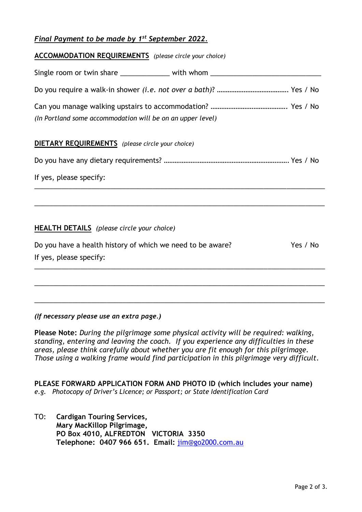# *Final Payment to be made by 1 st September 2022.*

| <b>ACCOMMODATION REQUIREMENTS</b> (please circle your choice)                    |          |
|----------------------------------------------------------------------------------|----------|
| Single room or twin share _______________ with whom ____________________________ |          |
|                                                                                  |          |
| (In Portland some accommodation will be on an upper level)                       |          |
| <b>DIETARY REQUIREMENTS</b> (please circle your choice)                          |          |
|                                                                                  |          |
| If yes, please specify:                                                          |          |
|                                                                                  |          |
| <b>HEALTH DETAILS</b> (please circle your choice)                                |          |
| Do you have a health history of which we need to be aware?                       | Yes / No |
| If yes, please specify:                                                          |          |
|                                                                                  |          |
|                                                                                  |          |

*(If necessary please use an extra page.)*

**Please Note:** *During the pilgrimage some physical activity will be required: walking, standing, entering and leaving the coach. If you experience any difficulties in these areas, please think carefully about whether you are fit enough for this pilgrimage. Those using a walking frame would find participation in this pilgrimage very difficult.*

\_\_\_\_\_\_\_\_\_\_\_\_\_\_\_\_\_\_\_\_\_\_\_\_\_\_\_\_\_\_\_\_\_\_\_\_\_\_\_\_\_\_\_\_\_\_\_\_\_\_\_\_\_\_\_\_\_\_\_\_\_\_\_\_\_\_\_\_\_\_\_\_\_\_\_\_

**PLEASE FORWARD APPLICATION FORM AND PHOTO ID (which includes your name)** *e.g.**Photocopy of Driver's Licence; or Passport; or State Identification Card*

TO: **Cardigan Touring Services, Mary MacKillop Pilgrimage, PO Box 4010, ALFREDTON VICTORIA 3350 Telephone: 0407 966 651. Email:** [jim@go2000.com.au](mailto:jim@go2000.com.au)